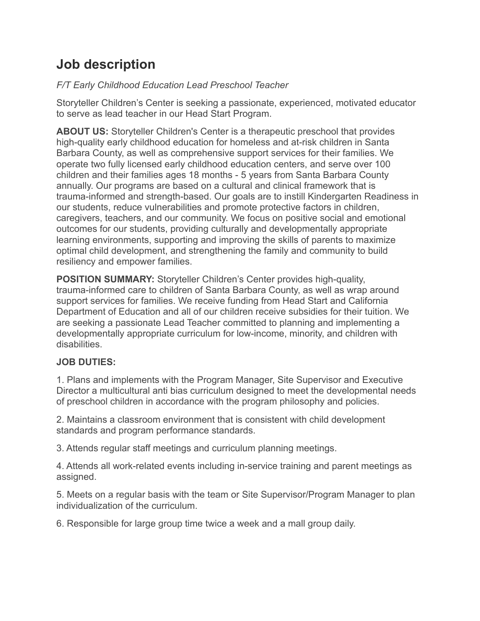# **Job description**

## *F/T Early Childhood Education Lead Preschool Teacher*

Storyteller Children's Center is seeking a passionate, experienced, motivated educator to serve as lead teacher in our Head Start Program.

**ABOUT US:** Storyteller Children's Center is a therapeutic preschool that provides high-quality early childhood education for homeless and at-risk children in Santa Barbara County, as well as comprehensive support services for their families. We operate two fully licensed early childhood education centers, and serve over 100 children and their families ages 18 months - 5 years from Santa Barbara County annually. Our programs are based on a cultural and clinical framework that is trauma-informed and strength-based. Our goals are to instill Kindergarten Readiness in our students, reduce vulnerabilities and promote protective factors in children, caregivers, teachers, and our community. We focus on positive social and emotional outcomes for our students, providing culturally and developmentally appropriate learning environments, supporting and improving the skills of parents to maximize optimal child development, and strengthening the family and community to build resiliency and empower families.

**POSITION SUMMARY:** Storyteller Children's Center provides high-quality, trauma-informed care to children of Santa Barbara County, as well as wrap around support services for families. We receive funding from Head Start and California Department of Education and all of our children receive subsidies for their tuition. We are seeking a passionate Lead Teacher committed to planning and implementing a developmentally appropriate curriculum for low-income, minority, and children with disabilities.

# **JOB DUTIES:**

1. Plans and implements with the Program Manager, Site Supervisor and Executive Director a multicultural anti bias curriculum designed to meet the developmental needs of preschool children in accordance with the program philosophy and policies.

2. Maintains a classroom environment that is consistent with child development standards and program performance standards.

3. Attends regular staff meetings and curriculum planning meetings.

4. Attends all work-related events including in-service training and parent meetings as assigned.

5. Meets on a regular basis with the team or Site Supervisor/Program Manager to plan individualization of the curriculum.

6. Responsible for large group time twice a week and a mall group daily.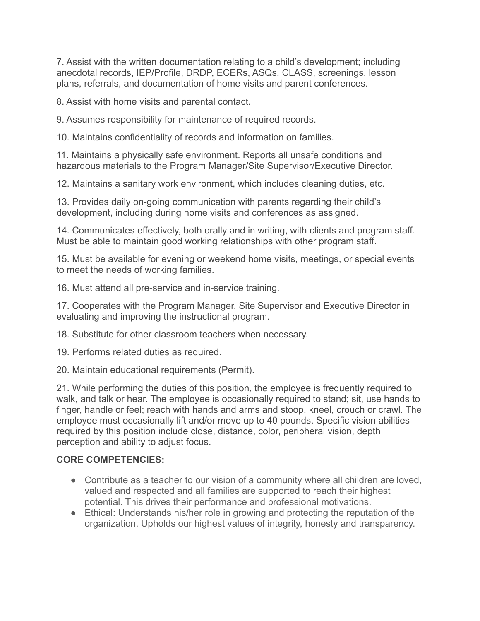7. Assist with the written documentation relating to a child's development; including anecdotal records, IEP/Profile, DRDP, ECERs, ASQs, CLASS, screenings, lesson plans, referrals, and documentation of home visits and parent conferences.

8. Assist with home visits and parental contact.

9. Assumes responsibility for maintenance of required records.

10. Maintains confidentiality of records and information on families.

11. Maintains a physically safe environment. Reports all unsafe conditions and hazardous materials to the Program Manager/Site Supervisor/Executive Director.

12. Maintains a sanitary work environment, which includes cleaning duties, etc.

13. Provides daily on-going communication with parents regarding their child's development, including during home visits and conferences as assigned.

14. Communicates effectively, both orally and in writing, with clients and program staff. Must be able to maintain good working relationships with other program staff.

15. Must be available for evening or weekend home visits, meetings, or special events to meet the needs of working families.

16. Must attend all pre-service and in-service training.

17. Cooperates with the Program Manager, Site Supervisor and Executive Director in evaluating and improving the instructional program.

18. Substitute for other classroom teachers when necessary.

19. Performs related duties as required.

20. Maintain educational requirements (Permit).

21. While performing the duties of this position, the employee is frequently required to walk, and talk or hear. The employee is occasionally required to stand; sit, use hands to finger, handle or feel; reach with hands and arms and stoop, kneel, crouch or crawl. The employee must occasionally lift and/or move up to 40 pounds. Specific vision abilities required by this position include close, distance, color, peripheral vision, depth perception and ability to adjust focus.

#### **CORE COMPETENCIES:**

- Contribute as a teacher to our vision of a community where all children are loved, valued and respected and all families are supported to reach their highest potential. This drives their performance and professional motivations.
- Ethical: Understands his/her role in growing and protecting the reputation of the organization. Upholds our highest values of integrity, honesty and transparency.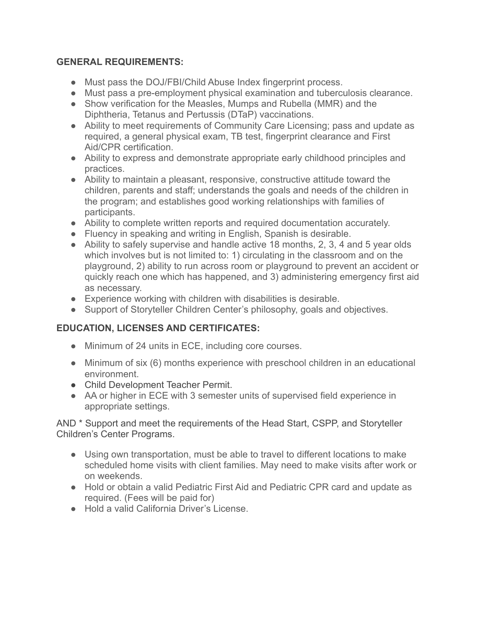#### **GENERAL REQUIREMENTS:**

- Must pass the DOJ/FBI/Child Abuse Index fingerprint process.
- Must pass a pre-employment physical examination and tuberculosis clearance.
- Show verification for the Measles, Mumps and Rubella (MMR) and the Diphtheria, Tetanus and Pertussis (DTaP) vaccinations.
- Ability to meet requirements of Community Care Licensing; pass and update as required, a general physical exam, TB test, fingerprint clearance and First Aid/CPR certification.
- Ability to express and demonstrate appropriate early childhood principles and practices.
- Ability to maintain a pleasant, responsive, constructive attitude toward the children, parents and staff; understands the goals and needs of the children in the program; and establishes good working relationships with families of participants.
- Ability to complete written reports and required documentation accurately.
- Fluency in speaking and writing in English, Spanish is desirable.
- Ability to safely supervise and handle active 18 months, 2, 3, 4 and 5 year olds which involves but is not limited to: 1) circulating in the classroom and on the playground, 2) ability to run across room or playground to prevent an accident or quickly reach one which has happened, and 3) administering emergency first aid as necessary.
- Experience working with children with disabilities is desirable.
- Support of Storyteller Children Center's philosophy, goals and objectives.

## **EDUCATION, LICENSES AND CERTIFICATES:**

- Minimum of 24 units in ECE, including core courses.
- Minimum of six (6) months experience with preschool children in an educational environment.
- Child Development Teacher Permit.
- AA or higher in ECE with 3 semester units of supervised field experience in appropriate settings.

AND \* Support and meet the requirements of the Head Start, CSPP, and Storyteller Children's Center Programs.

- Using own transportation, must be able to travel to different locations to make scheduled home visits with client families. May need to make visits after work or on weekends.
- Hold or obtain a valid Pediatric First Aid and Pediatric CPR card and update as required. (Fees will be paid for)
- Hold a valid California Driver's License